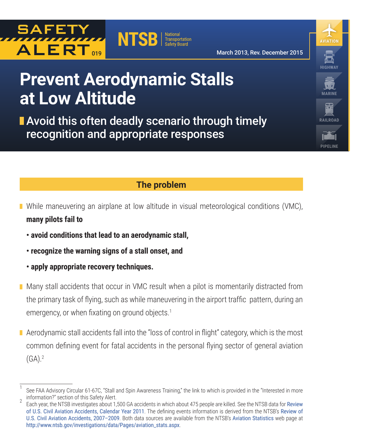



March 2013, Rev. December 2015

**HIGHWAY**

**AVIATION**

**MARINE**

**RAILROAD**

**PIPELINE**

# **Prevent Aerodynamic Stalls at Low Altitude**

**Avoid this often deadly scenario through timely** recognition and appropriate responses

### **The problem**

- **Nimilar** While maneuvering an airplane at low altitude in visual meteorological conditions (VMC), **many pilots fail to**
	- **avoid conditions that lead to an aerodynamic stall,**
	- **recognize the warning signs of a stall onset, and**
	- **apply appropriate recovery techniques.**
- **Many stall accidents that occur in VMC result when a pilot is momentarily distracted from** the primary task of flying, such as while maneuvering in the airport traffic pattern, during an emergency, or when fixating on ground objects.<sup>1</sup>
- **A** erodynamic stall accidents fall into the "loss of control in flight" category, which is the most common defining event for fatal accidents in the personal flying sector of general aviation  $(GA).<sup>2</sup>$

See FAA Advisory Circular 61-67C, "Stall and Spin Awareness Training," the link to which is provided in the "Interested in more information?" section of this Safety Alert.<br>Each year, the NTSB investigates about 1,500 GA accidents in which about 475 people are killed. See the NTSB data for [Review](http://www.ntsb.gov/investigations/data/Documents/ARA1401.pdf)

[of U.S. Civil Aviation Accidents, Calendar Year 2011](http://www.ntsb.gov/investigations/data/Documents/ARA1401.pdf). The defining events information is derived from the NTSB's [Review of](http://www.ntsb.gov/investigations/data/Documents/ARA1101.pdf) [U.S. Civil Aviation Accidents, 2007–2009](http://www.ntsb.gov/investigations/data/Documents/ARA1101.pdf). Both data sources are available from the NTSB's [Aviation Statistics](http://www.ntsb.gov/investigations/data/Pages/aviation_stats.aspx) web page at [http://www.ntsb.gov/investigations/data/Pages/aviation\\_stats.aspx](http://www.ntsb.gov/investigations/data/Pages/aviation_stats.aspx).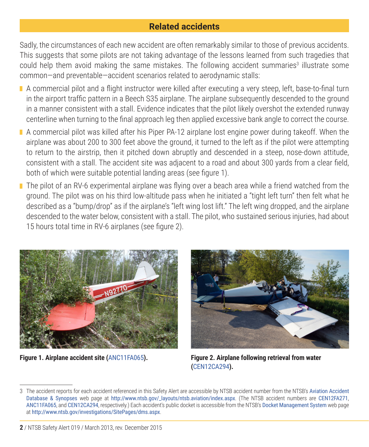### **Related accidents**

Sadly, the circumstances of each new accident are often remarkably similar to those of previous accidents. This suggests that some pilots are not taking advantage of the lessons learned from such tragedies that could help them avoid making the same mistakes. The following accident summaries<sup>3</sup> illustrate some common—and preventable—accident scenarios related to aerodynamic stalls:

- A commercial pilot and a flight instructor were killed after executing a very steep, left, base-to-final turn in the airport traffic pattern in a Beech S35 airplane. The airplane subsequently descended to the ground in a manner consistent with a stall. Evidence indicates that the pilot likely overshot the extended runway centerline when turning to the final approach leg then applied excessive bank angle to correct the course.
- A commercial pilot was killed after his Piper PA-12 airplane lost engine power during takeoff. When the airplane was about 200 to 300 feet above the ground, it turned to the left as if the pilot were attempting to return to the airstrip, then it pitched down abruptly and descended in a steep, nose-down attitude, consistent with a stall. The accident site was adjacent to a road and about 300 yards from a clear field, both of which were suitable potential landing areas (see figure 1).
- The pilot of an RV-6 experimental airplane was flying over a beach area while a friend watched from the ground. The pilot was on his third low-altitude pass when he initiated a "tight left turn" then felt what he described as a "bump/drop" as if the airplane's "left wing lost lift." The left wing dropped, and the airplane descended to the water below, consistent with a stall. The pilot, who sustained serious injuries, had about 15 hours total time in RV-6 airplanes (see figure 2).





**Figure 1. Airplane accident site (**[ANC11FA065](https://www.ntsb.gov/_layouts/ntsb.aviation/brief2.aspx?ev_id=20110718X53000&ntsbno=ANC11FA065&akey=1)**). Figure 2. Airplane following retrieval from water (**[CEN12CA294](https://www.ntsb.gov/_layouts/ntsb.aviation/brief.aspx?ev_id=20120514X31656&key=1)**).**

<sup>3</sup> The accident reports for each accident referenced in this Safety Alert are accessible by NTSB accident number from the NTSB's [Aviation Accident](http://www.ntsb.gov/_layouts/ntsb.aviation/index.aspx)  [Database & Synopses](http://www.ntsb.gov/_layouts/ntsb.aviation/index.aspx) web page at [http://www.ntsb.gov/\\_layouts/ntsb.aviation/index.aspx](http://www.ntsb.gov/_layouts/ntsb.aviation/index.aspx). (The NTSB accident numbers are [CEN12FA271](https://www.ntsb.gov/investigations/current/_layouts/ntsb.aviation/brief.aspx?ev_id=20120503X72121&key=1), [ANC11FA065](https://www.ntsb.gov/_layouts/ntsb.aviation/brief2.aspx?ev_id=20110718X53000&ntsbno=ANC11FA065&akey=1), and [CEN12CA294](https://www.ntsb.gov/_layouts/ntsb.aviation/brief.aspx?ev_id=20120514X31656&key=1), respectively.) Each accident's public docket is accessible from the NTSB's [Docket Management System](http://www.ntsb.gov/investigations/SitePages/dms.aspx) web page at <http://www.ntsb.gov/investigations/SitePages/dms.aspx>.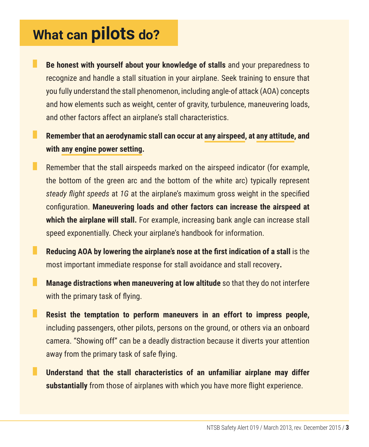## **What can pilots do?**

**Be honest with yourself about your knowledge of stalls** and your preparedness to recognize and handle a stall situation in your airplane. Seek training to ensure that you fully understand the stall phenomenon, including angle-of attack (AOA) concepts and how elements such as weight, center of gravity, turbulence, maneuvering loads, and other factors affect an airplane's stall characteristics.

a. **Remember that an aerodynamic stall can occur at any airspeed, at any attitude, and with any engine power setting.**

- ш Remember that the stall airspeeds marked on the airspeed indicator (for example, the bottom of the green arc and the bottom of the white arc) typically represent *steady flight speeds* at *1G* at the airplane's maximum gross weight in the specified configuration. **Maneuvering loads and other factors can increase the airspeed at which the airplane will stall.** For example, increasing bank angle can increase stall speed exponentially. Check your airplane's handbook for information.
- **Reducing AOA by lowering the airplane's nose at the first indication of a stall** is the most important immediate response for stall avoidance and stall recovery**.**
- ш **Manage distractions when maneuvering at low altitude** so that they do not interfere with the primary task of flying.
- ш **Resist the temptation to perform maneuvers in an effort to impress people,**  including passengers, other pilots, persons on the ground, or others via an onboard camera. "Showing off" can be a deadly distraction because it diverts your attention away from the primary task of safe flying.
- **Understand that the stall characteristics of an unfamiliar airplane may differ substantially** from those of airplanes with which you have more flight experience.